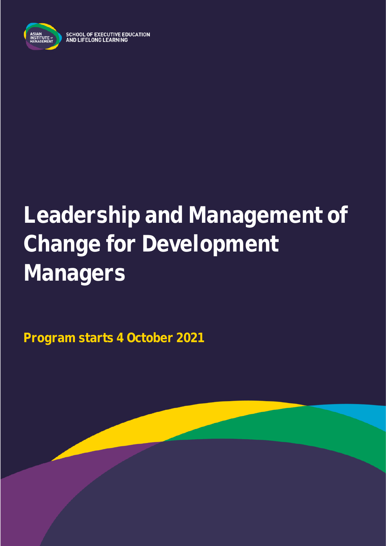

**SCHOOL OF EXECUTIVE EDUCATION** AND LIFELONG LEARNING

# **Leadership and Management of Change for Development Managers**

**Program starts 4 October 2021**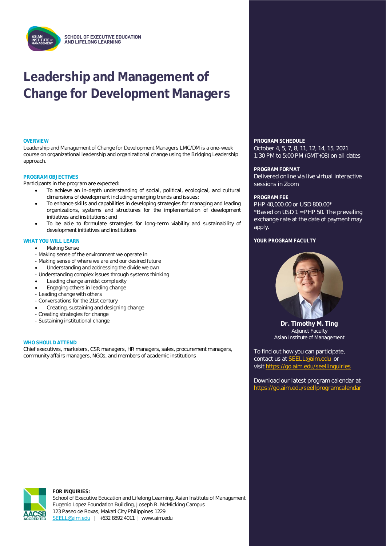## **Leadership and Management of Change for Development Managers**

Leadership and Management of Change for Development Managers LMC/DM is a one-week course on organizational leadership and organizational change using the Bridging Leadership approach.

#### **PROGRAM OBJECTIVES**

Participants in the program are expected:

- To achieve an in-depth understanding of social, political, ecological, and cultural dimensions of development including emerging trends and issues;
- To enhance skills and capabilities in developing strategies for managing and leading organizations, systems and structures for the implementation of development initiatives and institutions; and
- To be able to formulate strategies for long-term viability and sustainability of development initiatives and institutions

### • **WHAT YOU WILL LEARN**

- Making Sense
- Making sense of the environment we operate in
- Making sense of where we are and our desired future
- Understanding and addressing the divide we own
- Understanding complex issues through systems thinking
- Leading change amidst complexity
- Engaging others in leading change
- Leading change with others
- Conversations for the 21st century
- Creating, sustaining and designing change
- Creating strategies for change
- Sustaining institutional change

#### **WHO SHOULD ATTEND**

Chief executives, marketers, CSR managers, HR managers, sales, procurement managers, community affairs managers, NGOs, and members of academic institutions

**OVERVIEW PROGRAM SCHEDULE**

October 4, 5, 7, 8, 11, 12, 14, 15, 2021 1:30 PM to 5:00 PM (GMT+08) on all dates

#### **PROGRAM FORMAT**

Delivered online via live virtual interactive sessions in Zoom

#### **PROGRAM FEE**

PHP 40,000.00 or USD 800.00\* \*Based on USD 1 = PHP 50. The prevailing exchange rate at the date of payment may apply.

#### YOUR PROGRAM FACULTY



**Dr. Timothy M. Ting** Adjunct Faculty Asian Institute of Management

To find out how you can participate, contact us at [SEELL@aim.edu](mailto:SEELL@aim.edu) or visit<https://go.aim.edu/seellinquiries>

Download our latest program calendar at <https://go.aim.edu/seellprogramcalendar>



**FOR INQUIRIES:**

School of Executive Education and Lifelong Learning, Asian Institute of Management Eugenio Lopez Foundation Building, Joseph R. McMicking Campus 123 Paseo de Roxas, Makati City Philippines 1229 [SEELL@aim.edu](mailto:SEELL@aim.edu) | +632 8892 4011 | www.aim.edu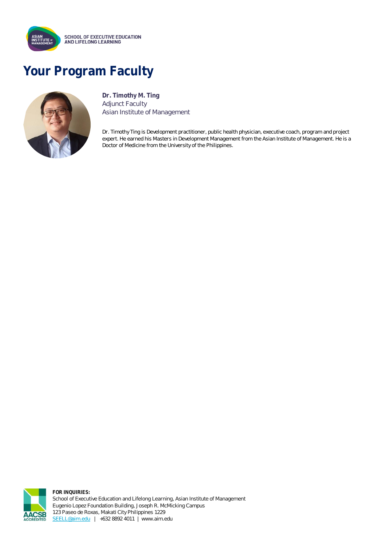

## **Your Program Faculty**



**Dr. Timothy M. Ting** Adjunct Faculty Asian Institute of Management

Dr. Timothy Ting is Development practitioner, public health physician, executive coach, program and project expert. He earned his Masters in Development Management from the Asian Institute of Management. He is a Doctor of Medicine from the University of the Philippines.



**FOR INQUIRIES:** School of Executive Education and Lifelong Learning, Asian Institute of Management Eugenio Lopez Foundation Building, Joseph R. McMicking Campus 123 Paseo de Roxas, Makati City Philippines 1229 [SEELL@aim.edu](mailto:SEELL@aim.edu) | +632 8892 4011 | www.aim.edu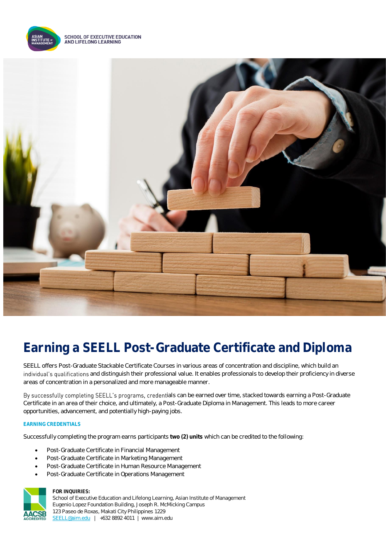

**SCHOOL OF EXECUTIVE EDUCATION** AND LIFELONG LEARNING



### **Earning a SEELL Post-Graduate Certificate and Diploma**

SEELL offers Post-Graduate Stackable Certificate Courses in various areas of concentration and discipline, which build an individual's qualifications and distinguish their professional value. It enables professionals to develop their proficiency in diverse areas of concentration in a personalized and more manageable manner.

By successfully completing SEELL's programs, credentials can be earned over time, stacked towards earning a Post-Graduate Certificate in an area of their choice, and ultimately, a Post-Graduate Diploma in Management. This leads to more career opportunities, advancement, and potentially high-paying jobs.

#### **EARNING CREDENTIALS**

Successfully completing the program earns participants **two (2) units** which can be credited to the following:

- Post-Graduate Certificate in Financial Management
- Post-Graduate Certificate in Marketing Management
- Post-Graduate Certificate in Human Resource Management
- Post-Graduate Certificate in Operations Management



#### **FOR INQUIRIES:**

School of Executive Education and Lifelong Learning, Asian Institute of Management Eugenio Lopez Foundation Building, Joseph R. McMicking Campus 123 Paseo de Roxas, Makati City Philippines 1229 [SEELL@aim.edu](mailto:SEELL@aim.edu) | +632 8892 4011 | www.aim.edu